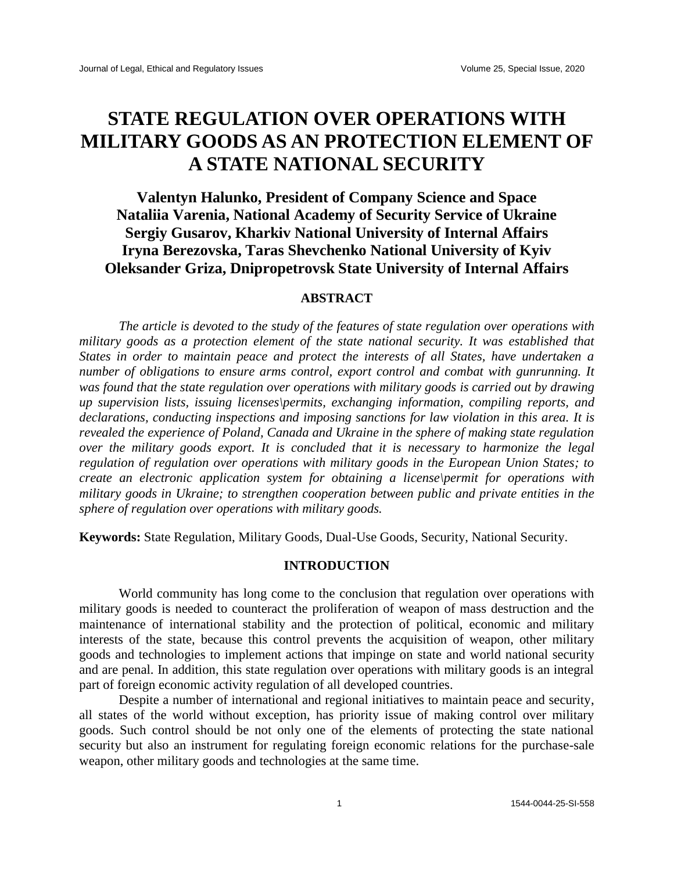# **STATE REGULATION OVER OPERATIONS WITH MILITARY GOODS AS AN PROTECTION ELEMENT OF A STATE NATIONAL SECURITY**

# **Valentyn Halunko, President of Company Science and Space Nataliia Varenia, National Academy of Security Service of Ukraine Sergiy Gusarov, Kharkiv National University of Internal Affairs Iryna Berezovska, Taras Shevchenko National University of Kyiv Oleksander Griza, Dnipropetrovsk State University of Internal Affairs**

# **ABSTRACT**

*The article is devoted to the study of the features of state regulation over operations with military goods as a protection element of the state national security. It was established that States in order to maintain peace and protect the interests of all States, have undertaken a number of obligations to ensure arms control, export control and combat with gunrunning. It was found that the state regulation over operations with military goods is carried out by drawing up supervision lists, issuing licenses\permits, exchanging information, compiling reports, and declarations, conducting inspections and imposing sanctions for law violation in this area. It is revealed the experience of Poland, Canada and Ukraine in the sphere of making state regulation over the military goods export. It is concluded that it is necessary to harmonize the legal regulation of regulation over operations with military goods in the European Union States; to create an electronic application system for obtaining a license\permit for operations with military goods in Ukraine; to strengthen cooperation between public and private entities in the sphere of regulation over operations with military goods.* 

**Keywords:** State Regulation, Military Goods, Dual-Use Goods, Security, National Security.

### **INTRODUCTION**

World community has long come to the conclusion that regulation over operations with military goods is needed to counteract the proliferation of weapon of mass destruction and the maintenance of international stability and the protection of political, economic and military interests of the state, because this control prevents the acquisition of weapon, other military goods and technologies to implement actions that impinge on state and world national security and are penal. In addition, this state regulation over operations with military goods is an integral part of foreign economic activity regulation of all developed countries.

Despite a number of international and regional initiatives to maintain peace and security, all states of the world without exception, has priority issue of making control over military goods. Such control should be not only one of the elements of protecting the state national security but also an instrument for regulating foreign economic relations for the purchase-sale weapon, other military goods and technologies at the same time.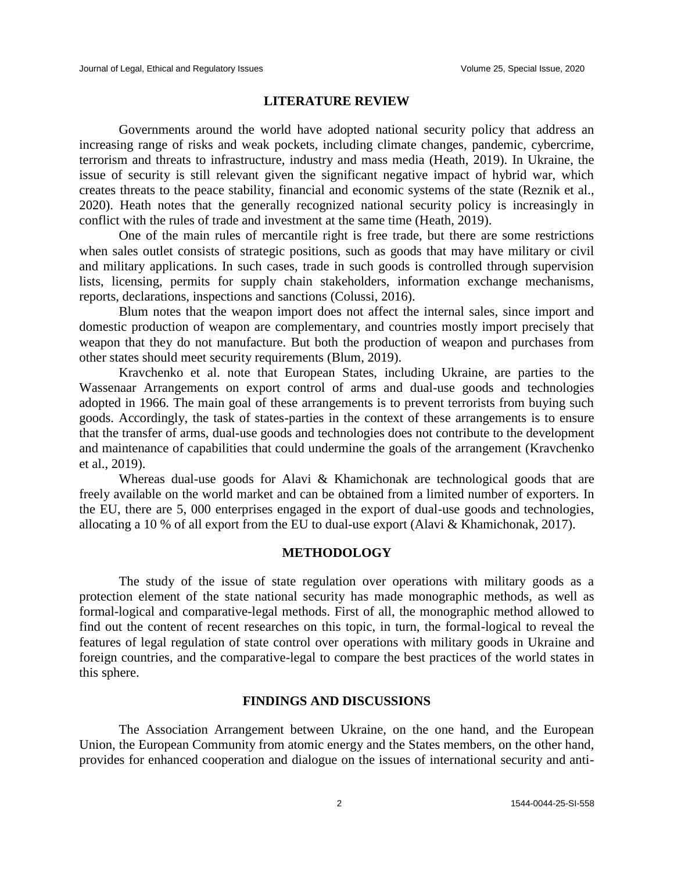#### **LITERATURE REVIEW**

Governments around the world have adopted national security policy that address an increasing range of risks and weak pockets, including climate changes, pandemic, cybercrime, terrorism and threats to infrastructure, industry and mass media (Heath, 2019). In Ukraine, the issue of security is still relevant given the significant negative impact of hybrid war, which creates threats to the peace stability, financial and economic systems of the state (Reznik et al., 2020). Heath notes that the generally recognized national security policy is increasingly in conflict with the rules of trade and investment at the same time (Heath, 2019).

One of the main rules of mercantile right is free trade, but there are some restrictions when sales outlet consists of strategic positions, such as goods that may have military or civil and military applications. In such cases, trade in such goods is controlled through supervision lists, licensing, permits for supply chain stakeholders, information exchange mechanisms, reports, declarations, inspections and sanctions (Colussi, 2016).

Blum notes that the weapon import does not affect the internal sales, since import and domestic production of weapon are complementary, and countries mostly import precisely that weapon that they do not manufacture. But both the production of weapon and purchases from other states should meet security requirements (Blum, 2019).

Kravchenko et al. note that European States, including Ukraine, are parties to the Wassenaar Arrangements on export control of arms and dual-use goods and technologies adopted in 1966. The main goal of these arrangements is to prevent terrorists from buying such goods. Accordingly, the task of states-parties in the context of these arrangements is to ensure that the transfer of arms, dual-use goods and technologies does not contribute to the development and maintenance of capabilities that could undermine the goals of the arrangement (Kravchenko et al., 2019).

Whereas dual-use goods for Alavi & Khamichonak are technological goods that are freely available on the world market and can be obtained from a limited number of exporters. In the EU, there are 5, 000 enterprises engaged in the export of dual-use goods and technologies, allocating a 10 % of all export from the EU to dual-use export (Alavi & Khamichonak, 2017).

## **METHODOLOGY**

The study of the issue of state regulation over operations with military goods as a protection element of the state national security has made monographic methods, as well as formal-logical and comparative-legal methods. First of all, the monographic method allowed to find out the content of recent researches on this topic, in turn, the formal-logical to reveal the features of legal regulation of state control over operations with military goods in Ukraine and foreign countries, and the comparative-legal to compare the best practices of the world states in this sphere.

#### **FINDINGS AND DISCUSSIONS**

The Association Arrangement between Ukraine, on the one hand, and the European Union, the European Community from atomic energy and the States members, on the other hand, provides for enhanced cooperation and dialogue on the issues of international security and anti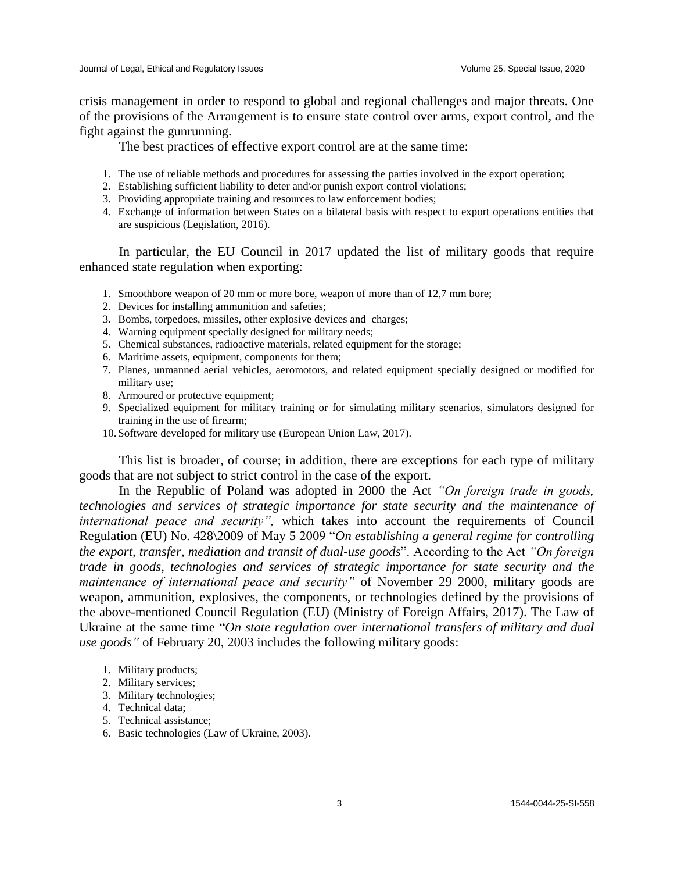crisis management in order to respond to global and regional challenges and major threats. One of the provisions of the Arrangement is to ensure state control over arms, export control, and the fight against the gunrunning.

The best practices of effective export control are at the same time:

- 1. The use of reliable methods and procedures for assessing the parties involved in the export operation;
- 2. Establishing sufficient liability to deter and\or punish export control violations;
- 3. Providing appropriate training and resources to law enforcement bodies;
- 4. Exchange of information between States on a bilateral basis with respect to export operations entities that are suspicious (Legislation, 2016).

In particular, the EU Council in 2017 updated the list of military goods that require enhanced state regulation when exporting:

- 1. Smoothbore weapon of 20 mm or more bore, weapon of more than of 12,7 mm bore;
- 2. Devices for installing ammunition and safeties;
- 3. Bombs, torpedoes, missiles, other explosive devices and charges;
- 4. Warning equipment specially designed for military needs;
- 5. Chemical substances, radioactive materials, related equipment for the storage;
- 6. Maritime assets, equipment, components for them;
- 7. Planes, unmanned aerial vehicles, aeromotors, and related equipment specially designed or modified for military use;
- 8. Armoured or protective equipment;
- 9. Specialized equipment for military training or for simulating military scenarios, simulators designed for training in the use of firearm;
- 10. Software developed for military use (European Union Law, 2017).

This list is broader, of course; in addition, there are exceptions for each type of military goods that are not subject to strict control in the case of the export.

In the Republic of Poland was adopted in 2000 the Act *"On foreign trade in goods, technologies and services of strategic importance for state security and the maintenance of international peace and security",* which takes into account the requirements of Council Regulation (EU) No. 428\2009 of May 5 2009 "*On establishing a general regime for controlling the export, transfer, mediation and transit of dual-use goods*". According to the Act *"On foreign trade in goods, technologies and services of strategic importance for state security and the maintenance of international peace and security"* of November 29 2000, military goods are weapon, ammunition, explosives, the components, or technologies defined by the provisions of the above-mentioned Council Regulation (EU) (Ministry of Foreign Affairs, 2017). The Law of Ukraine at the same time "*On state regulation over international transfers of military and dual use goods"* of February 20, 2003 includes the following military goods:

- 1. Military products;
- 2. Military services;
- 3. Military technologies;
- 4. Technical data;
- 5. Technical assistance;
- 6. Basic technologies (Law of Ukraine, 2003).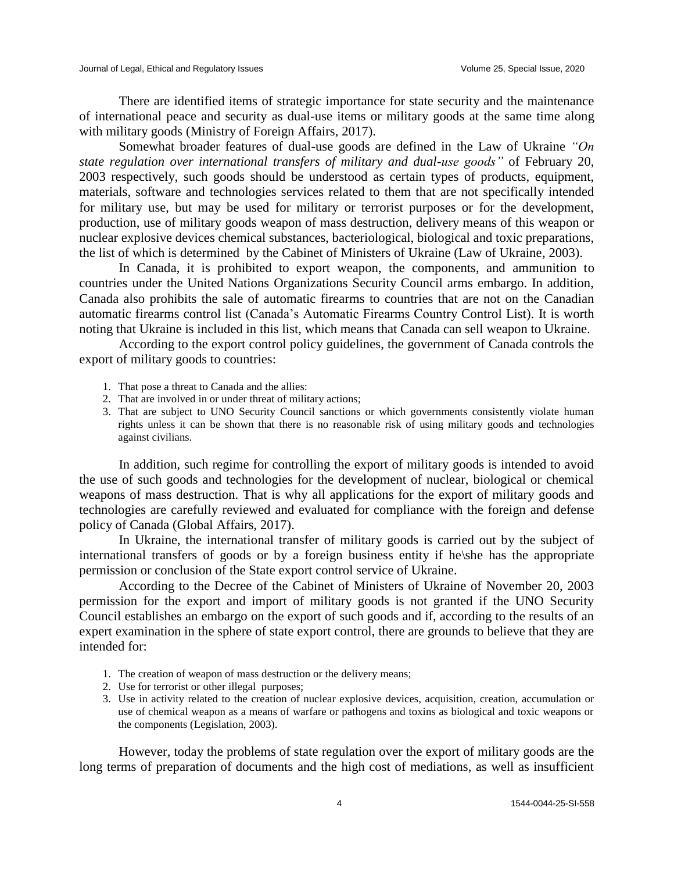There are identified items of strategic importance for state security and the maintenance of international peace and security as dual-use items or military goods at the same time along with military goods (Ministry of Foreign Affairs, 2017).

Somewhat broader features of dual-use goods are defined in the Law of Ukraine *"On state regulation over international transfers of military and dual-use goods"* of February 20, 2003 respectively, such goods should be understood as certain types of products, equipment, materials, software and technologies services related to them that are not specifically intended for military use, but may be used for military or terrorist purposes or for the development, production, use of military goods weapon of mass destruction, delivery means of this weapon or nuclear explosive devices chemical substances, bacteriological, biological and toxic preparations, the list of which is determined by the Cabinet of Ministers of Ukraine (Law of Ukraine, 2003).

In Canada, it is prohibited to export weapon, the components, and ammunition to countries under the United Nations Organizations Security Council arms embargo. In addition, Canada also prohibits the sale of automatic firearms to countries that are not on the Canadian automatic firearms control list (Canada's Automatic Firearms Country Control List). It is worth noting that Ukraine is included in this list, which means that Canada can sell weapon to Ukraine.

According to the export control policy guidelines, the government of Canada controls the export of military goods to countries:

- 1. That pose a threat to Canada and the allies:
- 2. That are involved in or under threat of military actions;
- 3. That are subject to UNO Security Council sanctions or which governments consistently violate human rights unless it can be shown that there is no reasonable risk of using military goods and technologies against civilians.

In addition, such regime for controlling the export of military goods is intended to avoid the use of such goods and technologies for the development of nuclear, biological or chemical weapons of mass destruction. That is why all applications for the export of military goods and technologies are carefully reviewed and evaluated for compliance with the foreign and defense policy of Canada (Global Affairs, 2017).

In Ukraine, the international transfer of military goods is carried out by the subject of international transfers of goods or by a foreign business entity if he\she has the appropriate permission or conclusion of the State export control service of Ukraine.

According to the Decree of the Cabinet of Ministers of Ukraine of November 20, 2003 permission for the export and import of military goods is not granted if the UNO Security Council establishes an embargo on the export of such goods and if, according to the results of an expert examination in the sphere of state export control, there are grounds to believe that they are intended for:

- 1. The creation of weapon of mass destruction or the delivery means;
- 2. Use for terrorist or other illegal purposes;
- 3. Use in activity related to the creation of nuclear explosive devices, acquisition, creation, accumulation or use of chemical weapon as a means of warfare or pathogens and toxins as biological and toxic weapons or the components (Legislation, 2003).

However, today the problems of state regulation over the export of military goods are the long terms of preparation of documents and the high cost of mediations, as well as insufficient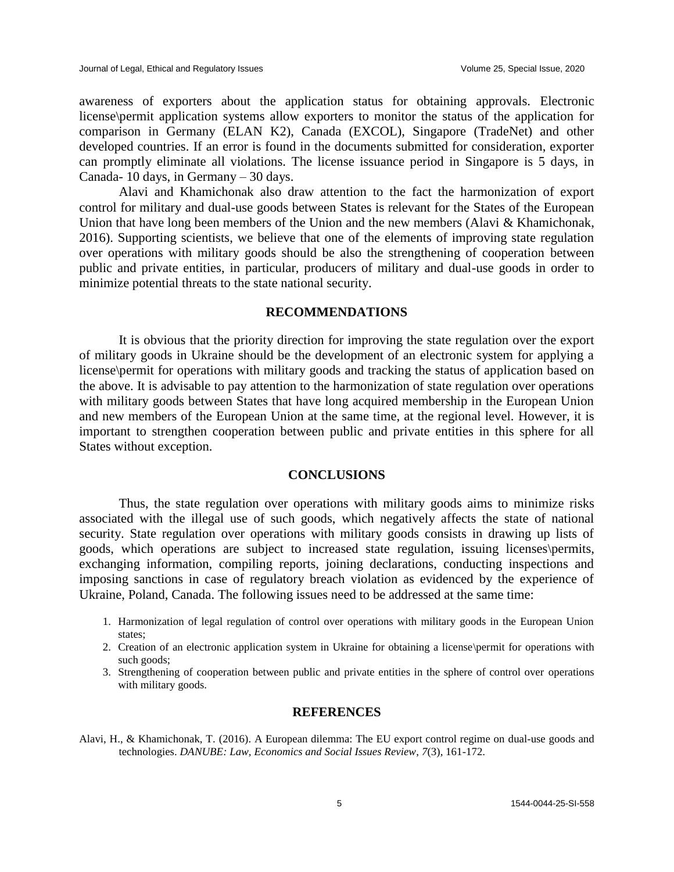awareness of exporters about the application status for obtaining approvals. Electronic license\permit application systems allow exporters to monitor the status of the application for comparison in Germany (ELAN K2), Canada (EXCOL), Singapore (TradeNet) and other developed countries. If an error is found in the documents submitted for consideration, exporter can promptly eliminate all violations. The license issuance period in Singapore is 5 days, in Canada- 10 days, in Germany – 30 days.

Alavi and Khamichonak also draw attention to the fact the harmonization of export control for military and dual-use goods between States is relevant for the States of the European Union that have long been members of the Union and the new members (Alavi & Khamichonak, 2016). Supporting scientists, we believe that one of the elements of improving state regulation over operations with military goods should be also the strengthening of cooperation between public and private entities, in particular, producers of military and dual-use goods in order to minimize potential threats to the state national security.

#### **RECOMMENDATIONS**

It is obvious that the priority direction for improving the state regulation over the export of military goods in Ukraine should be the development of an electronic system for applying a license\permit for operations with military goods and tracking the status of application based on the above. It is advisable to pay attention to the harmonization of state regulation over operations with military goods between States that have long acquired membership in the European Union and new members of the European Union at the same time, at the regional level. However, it is important to strengthen cooperation between public and private entities in this sphere for all States without exception.

## **CONCLUSIONS**

Thus, the state regulation over operations with military goods aims to minimize risks associated with the illegal use of such goods, which negatively affects the state of national security. State regulation over operations with military goods consists in drawing up lists of goods, which operations are subject to increased state regulation, issuing licenses\permits, exchanging information, compiling reports, joining declarations, conducting inspections and imposing sanctions in case of regulatory breach violation as evidenced by the experience of Ukraine, Poland, Canada. The following issues need to be addressed at the same time:

- 1. Harmonization of legal regulation of control over operations with military goods in the European Union states;
- 2. Creation of an electronic application system in Ukraine for obtaining a license\permit for operations with such goods;
- 3. Strengthening of cooperation between public and private entities in the sphere of control over operations with military goods.

#### **REFERENCES**

Alavi, H., & Khamichonak, T. (2016). A European dilemma: The EU export control regime on dual-use goods and technologies. *DANUBE: Law, Economics and Social Issues Review*, *7*(3), 161-172.